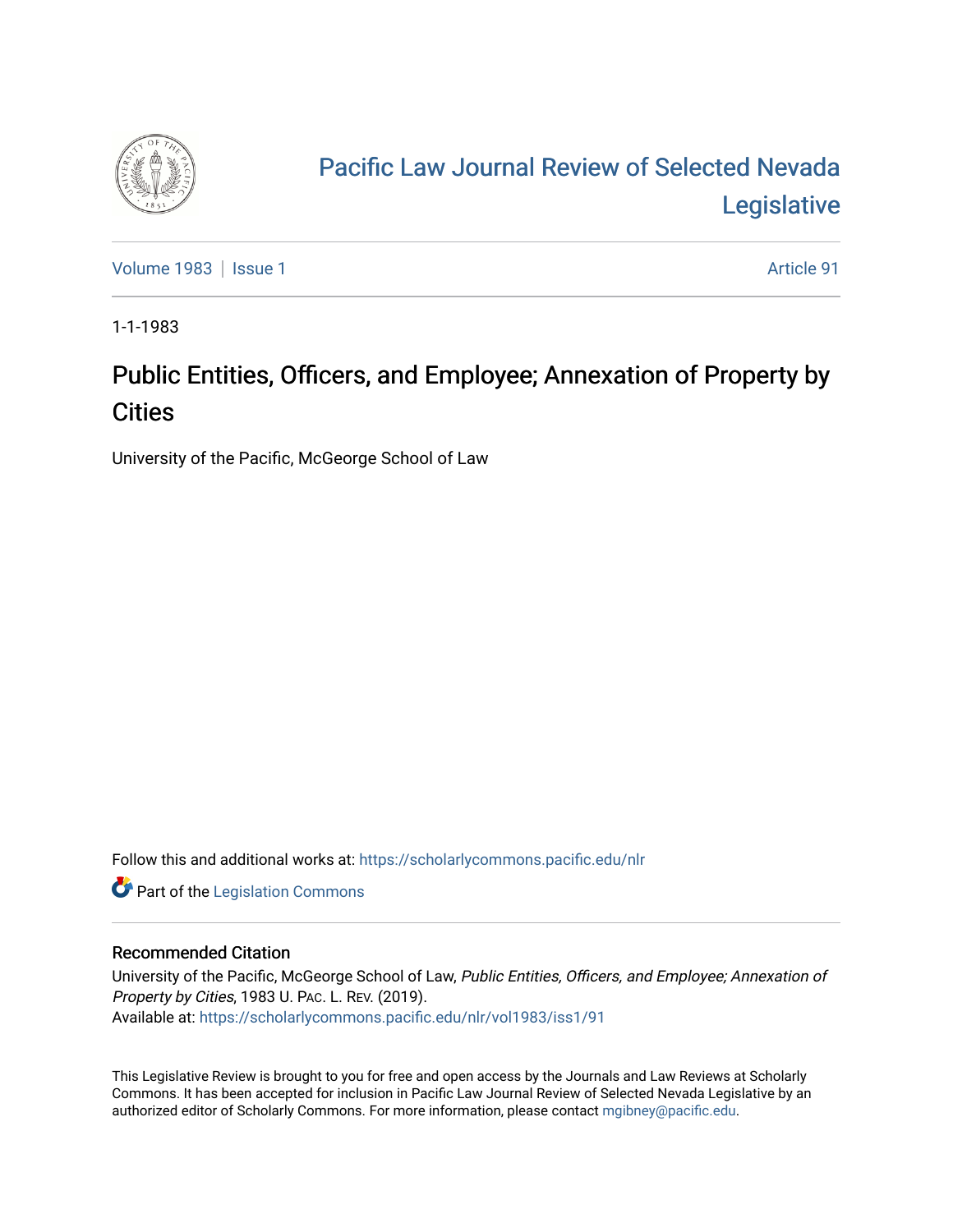

## [Pacific Law Journal Review of Selected Nevada](https://scholarlycommons.pacific.edu/nlr)  [Legislative](https://scholarlycommons.pacific.edu/nlr)

[Volume 1983](https://scholarlycommons.pacific.edu/nlr/vol1983) | [Issue 1](https://scholarlycommons.pacific.edu/nlr/vol1983/iss1) Article 91

1-1-1983

## Public Entities, Officers, and Employee; Annexation of Property by **Cities**

University of the Pacific, McGeorge School of Law

Follow this and additional works at: [https://scholarlycommons.pacific.edu/nlr](https://scholarlycommons.pacific.edu/nlr?utm_source=scholarlycommons.pacific.edu%2Fnlr%2Fvol1983%2Fiss1%2F91&utm_medium=PDF&utm_campaign=PDFCoverPages) 

**Part of the [Legislation Commons](http://network.bepress.com/hgg/discipline/859?utm_source=scholarlycommons.pacific.edu%2Fnlr%2Fvol1983%2Fiss1%2F91&utm_medium=PDF&utm_campaign=PDFCoverPages)** 

## Recommended Citation

University of the Pacific, McGeorge School of Law, Public Entities, Officers, and Employee; Annexation of Property by Cities, 1983 U. PAC. L. REV. (2019). Available at: [https://scholarlycommons.pacific.edu/nlr/vol1983/iss1/91](https://scholarlycommons.pacific.edu/nlr/vol1983/iss1/91?utm_source=scholarlycommons.pacific.edu%2Fnlr%2Fvol1983%2Fiss1%2F91&utm_medium=PDF&utm_campaign=PDFCoverPages)

This Legislative Review is brought to you for free and open access by the Journals and Law Reviews at Scholarly Commons. It has been accepted for inclusion in Pacific Law Journal Review of Selected Nevada Legislative by an authorized editor of Scholarly Commons. For more information, please contact [mgibney@pacific.edu](mailto:mgibney@pacific.edu).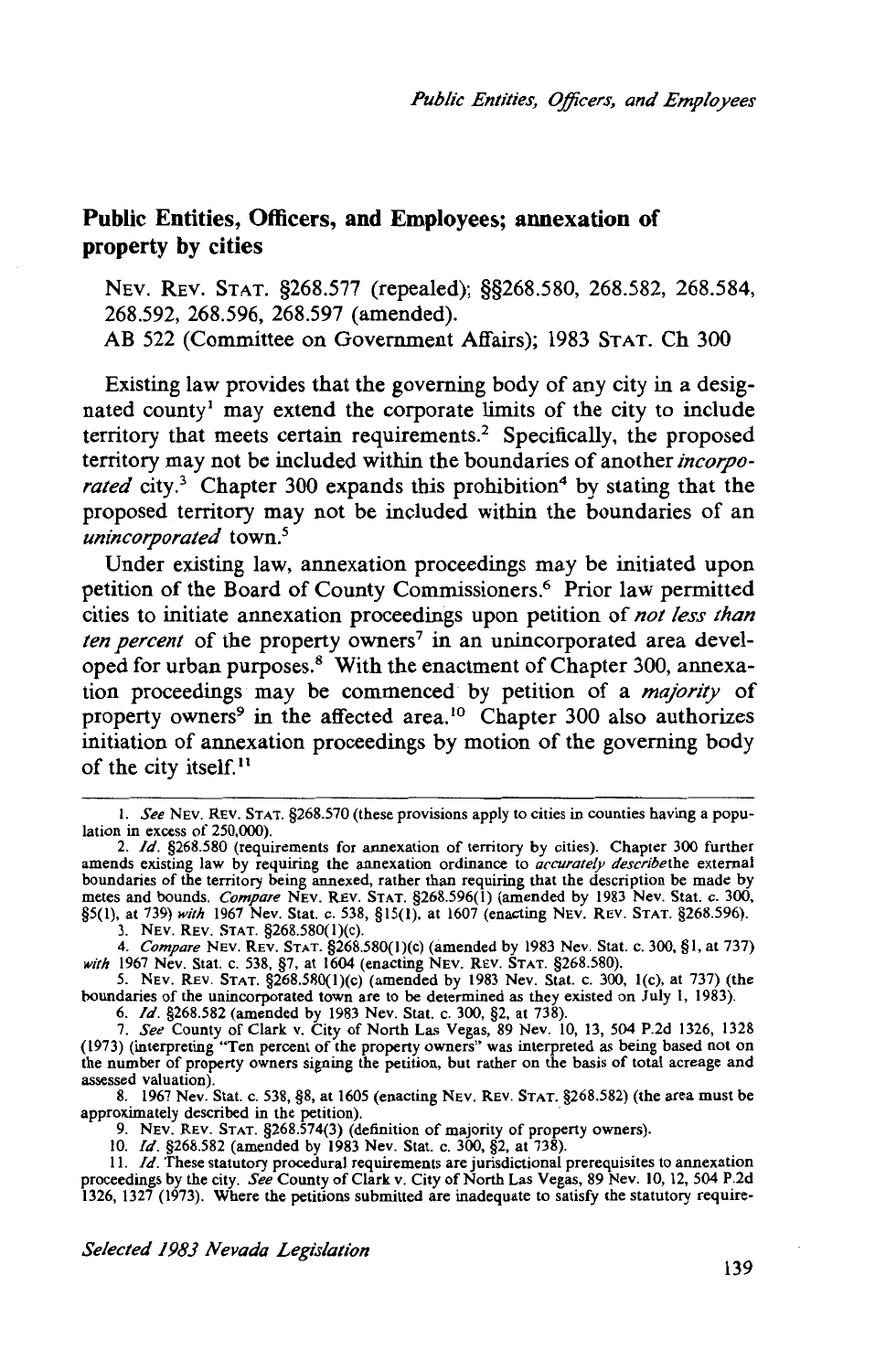## **Public Entities, Officers, and Employees; annexation of property by cities**

NEV. REV. STAT. §268.577 (repealed); §§268.580, 268.582, 268.584, 268.592, 268.596, 268.597 (amended). AB 522 (Committee on Government Affairs); 1983 STAT. Ch 300

Existing law provides that the governing body of any city in a designated county<sup>1</sup> may extend the corporate limits of the city to include territory that meets certain requirements.2 Specifically, the proposed territory may not be included within the boundaries of another *incorporated* city.<sup>3</sup> Chapter 300 expands this prohibition<sup>4</sup> by stating that the proposed territory may not be included within the boundaries of an *unincorporated* town.5

Under existing law, annexation proceedings may be initiated upon petition of the Board of County Commissioners.6 Prior law permitted cities to initiate annexation proceedings upon petition of *not less than ten percent* of the property owners<sup>7</sup> in an unincorporated area developed for urban purposes.8 With the enactment of Chapter 300, annexation proceedings may be commenced by petition of a *majority* of property owners<sup>9</sup> in the affected area.<sup>10</sup> Chapter 300 also authorizes initiation of annexation proceedings by motion of the governing body of the city itself. 11

6. */d.* §268.582 (amended by 1983 Nev. Stat. c. 300, §2, at 738).

8. 1967 Nev. Stat. c. 538, §8, at 1605 (enacting NEv. REV. STAT. §268.582) (the area must be approximately described in the petition).<br>9. NEV. REV. STAT. §268.574(3) (definition of majority of property owners).

10. */d.* §268.582 (amended by !983 Nev. Stat. c. 300, §2, at 738).

I. *See* NEV. REv. STAT. §268.570 (these provisions apply to cities in counties having a population in excess of 250,000).

<sup>2.</sup> */d.* §268.580 (requirements for annexation of territory by cities). Chapter 300 further amends existing law by requiring the annexation ordinance to *accurately describethe* external boundaries of the territory being annexed, rather than requiring that the description be made by metes and bounds. *Compare* NEv. REv. STAT. §268.596(1) (amended by 1983 Nev. Stat. c. 300, §5(1), at 739) *with* 1967 Nev. Stat. c. 538, §15(1), at 1607 (enacting NEv. REv. STAT. §268.596).

<sup>3.</sup> NEV. REV. STAT. §268.580(l)(c). 4. *Compare* NEv. REv. STAT. §268.580(l)(c) (amended by 1983 Nev. Stat. c. 300, §I, at 737) *with* 1967 Nev. Stat. c. 538, §7, at 1604 (enacting NEV. REV. STAT. §268.580).

<sup>5.</sup> NEV. REV. STAT. §268.580(1)(c) (amended by 1983 Nev. Stat. c. 300, 1(c), at 737) (the boundaries of the unincorporated town are to be determined as they existed on July I, 1983).

<sup>7.</sup> *See* County of Clark v. City of North Las Vegas, 89 Nev. 10, 13, 504 P.2d 1326, 1328 (1973) (interpreting "Ten percent of the property owners" was interpreted as being based not on the number of property owners signing the petition, but rather on the basis of total acreage and assessed valuation).

II. */d.* These statutory procedural requirements are jurisdictional prerequisites to annexation proceedings by the city. *See* County of Clark v. City of North Las Vegas, 89 Nev. 10, 12, 504 P.2d !326, 1327 (1973). Where the petitions submitted are inadequate to satisfy the statutory require-